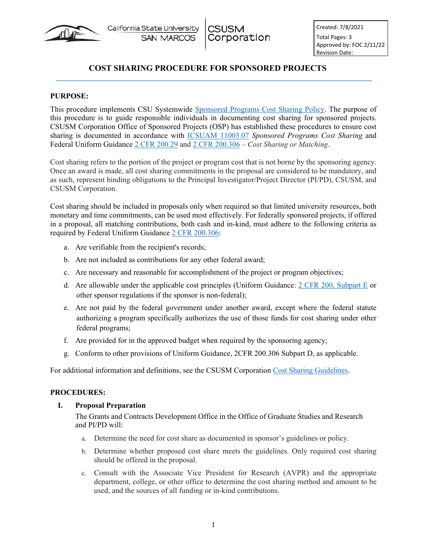

# **COST SHARING PROCEDURE FOR SPONSORED PROJECTS**

### **PURPOSE:**

This procedure implements CSU Systemwide [Sponsored Programs Cost Sharing Policy.](https://calstate.policystat.com/policy/8543238/latest/) The purpose of this procedure is to guide responsible individuals in documenting cost sharing for sponsored projects. CSUSM Corporation Office of Sponsored Projects (OSP) has established these procedures to ensure cost sharing is documented in accordance with [ICSUAM 11003.07](https://calstate.policystat.com/policy/8543238/latest/) *Sponsored Programs Cost Sharing* and Federal Uniform Guidance [2 CFR 200.29](https://www.ecfr.gov/cgi-bin/text-idx?node=2:1.1.2.2.1#se2.1.200_11) and [2 CFR 200.306](https://www.ecfr.gov/cgi-bin/text-idx?SID=7200dfd65bfcaa7ba4f73a512b9fc8c3&mc=true&node=pt2.1.200&rgn=div5#se2.1.200_1306) – *Cost Sharing or Matching*.

Cost sharing refers to the portion of the project or program cost that is not borne by the sponsoring agency. Once an award is made, all cost sharing commitments in the proposal are considered to be mandatory, and as such, represent binding obligations to the Principal Investigator/Project Director (PI/PD), CSUSM, and CSUSM Corporation.

Cost sharing should be included in proposals only when required so that limited university resources, both monetary and time commitments, can be used most effectively. For federally sponsored projects, if offered in a proposal, all matching contributions, both cash and in-kind, must adhere to the following criteria as required by Federal Uniform Guidance [2 CFR 200.306:](https://www.ecfr.gov/cgi-bin/text-idx?SID=7200dfd65bfcaa7ba4f73a512b9fc8c3&mc=true&node=pt2.1.200&rgn=div5#se2.1.200_1306)

- a. Are verifiable from the recipient's records;
- b. Are not included as contributions for any other federal award;
- c. Are necessary and reasonable for accomplishment of the project or program objectives;
- d. Are allowable under the applicable cost principles (Uniform Guidance:  $2$  CFR 200, Subpart E or other sponsor regulations if the sponsor is non-federal);
- e. Are not paid by the federal government under another award, except where the federal statute authorizing a program specifically authorizes the use of those funds for cost sharing under other federal programs;
- f. Are provided for in the approved budget when required by the sponsoring agency;
- g. Conform to other provisions of Uniform Guidance, 2CFR 200.306 Subpart D, as applicable.

For additional information and definitions, see the CSUSM Corporation [Cost Sharing Guidelines.](https://www.csusm.edu/corp/sponsoredprojects/costshareguidelines.html)

### **PROCEDURES:**

### **I. Proposal Preparation**

The Grants and Contracts Development Office in the Office of Graduate Studies and Research and PI/PD will:

- a. Determine the need for cost share as documented in sponsor's guidelines or policy.
- b. Determine whether proposed cost share meets the guidelines. Only required cost sharing should be offered in the proposal.
- c. Consult with the Associate Vice President for Research (AVPR) and the appropriate department, college, or other office to determine the cost sharing method and amount to be used, and the sources of all funding or in-kind contributions.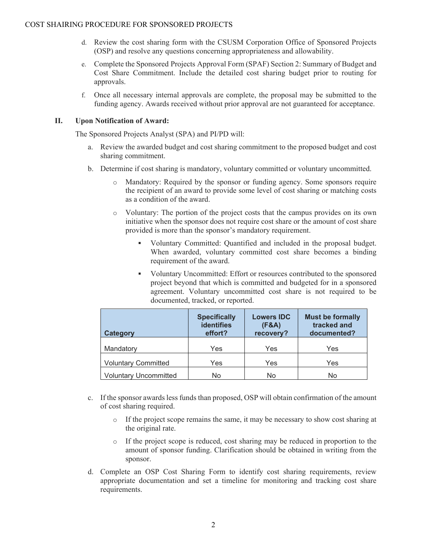- d. Review the cost sharing form with the CSUSM Corporation Office of Sponsored Projects (OSP) and resolve any questions concerning appropriateness and allowability.
- e. Complete the Sponsored Projects Approval Form (SPAF) Section 2: Summary of Budget and Cost Share Commitment. Include the detailed cost sharing budget prior to routing for approvals.
- f. Once all necessary internal approvals are complete, the proposal may be submitted to the funding agency. Awards received without prior approval are not guaranteed for acceptance.

## **II. Upon Notification of Award:**

The Sponsored Projects Analyst (SPA) and PI/PD will:

- a. Review the awarded budget and cost sharing commitment to the proposed budget and cost sharing commitment.
- b. Determine if cost sharing is mandatory, voluntary committed or voluntary uncommitted.
	- Mandatory: Required by the sponsor or funding agency. Some sponsors require the recipient of an award to provide some level of cost sharing or matching costs as a condition of the award.
	- o Voluntary: The portion of the project costs that the campus provides on its own initiative when the sponsor does not require cost share or the amount of cost share provided is more than the sponsor's mandatory requirement.
		- Voluntary Committed: Quantified and included in the proposal budget. When awarded, voluntary committed cost share becomes a binding requirement of the award.
		- Voluntary Uncommitted: Effort or resources contributed to the sponsored project beyond that which is committed and budgeted for in a sponsored agreement. Voluntary uncommitted cost share is not required to be documented, tracked, or reported.

| <b>Category</b>              | <b>Specifically</b><br><b>identifies</b><br>effort? | <b>Lowers IDC</b><br>(F&A)<br>recovery? | <b>Must be formally</b><br>tracked and<br>documented? |
|------------------------------|-----------------------------------------------------|-----------------------------------------|-------------------------------------------------------|
| Mandatory                    | Yes                                                 | Yes                                     | Yes                                                   |
| <b>Voluntary Committed</b>   | Yes                                                 | Yes                                     | Yes                                                   |
| <b>Voluntary Uncommitted</b> | No                                                  | No                                      | No                                                    |

- c. If the sponsor awards less funds than proposed, OSP will obtain confirmation of the amount of cost sharing required.
	- o If the project scope remains the same, it may be necessary to show cost sharing at the original rate.
	- o If the project scope is reduced, cost sharing may be reduced in proportion to the amount of sponsor funding. Clarification should be obtained in writing from the sponsor.
- d. Complete an OSP Cost Sharing Form to identify cost sharing requirements, review appropriate documentation and set a timeline for monitoring and tracking cost share requirements.